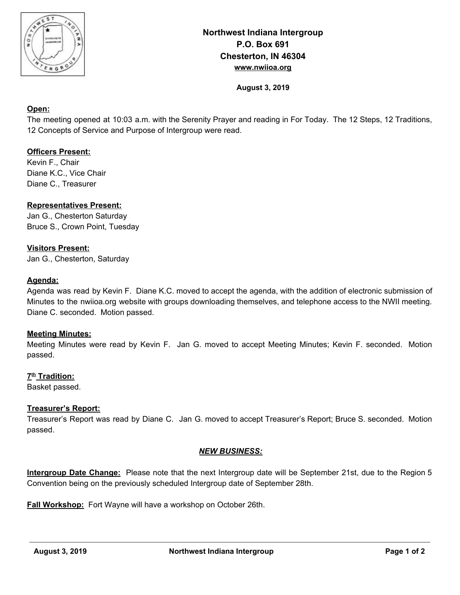

# **Northwest Indiana Intergroup P.O. Box 691 Chesterton, IN 46304 www.nwiioa.org**

**August 3, 2019**

### **Open:**

The meeting opened at 10:03 a.m. with the Serenity Prayer and reading in For Today. The 12 Steps, 12 Traditions, 12 Concepts of Service and Purpose of Intergroup were read.

# **Officers Present:**

Kevin F., Chair Diane K.C., Vice Chair Diane C., Treasurer

# **Representatives Present:**

Jan G., Chesterton Saturday Bruce S., Crown Point, Tuesday

#### **Visitors Present:**

Jan G., Chesterton, Saturday

### **Agenda:**

Agenda was read by Kevin F. Diane K.C. moved to accept the agenda, with the addition of electronic submission of Minutes to the nwiioa.org website with groups downloading themselves, and telephone access to the NWII meeting. Diane C. seconded. Motion passed.

#### **Meeting Minutes:**

Meeting Minutes were read by Kevin F. Jan G. moved to accept Meeting Minutes; Kevin F. seconded. Motion passed.

### **7 th Tradition:**

Basket passed.

#### **Treasurer's Report:**

Treasurer's Report was read by Diane C. Jan G. moved to accept Treasurer's Report; Bruce S. seconded. Motion passed.

#### *NEW BUSINESS:*

**Intergroup Date Change:** Please note that the next Intergroup date will be September 21st, due to the Region 5 Convention being on the previously scheduled Intergroup date of September 28th.

**Fall Workshop:** Fort Wayne will have a workshop on October 26th.